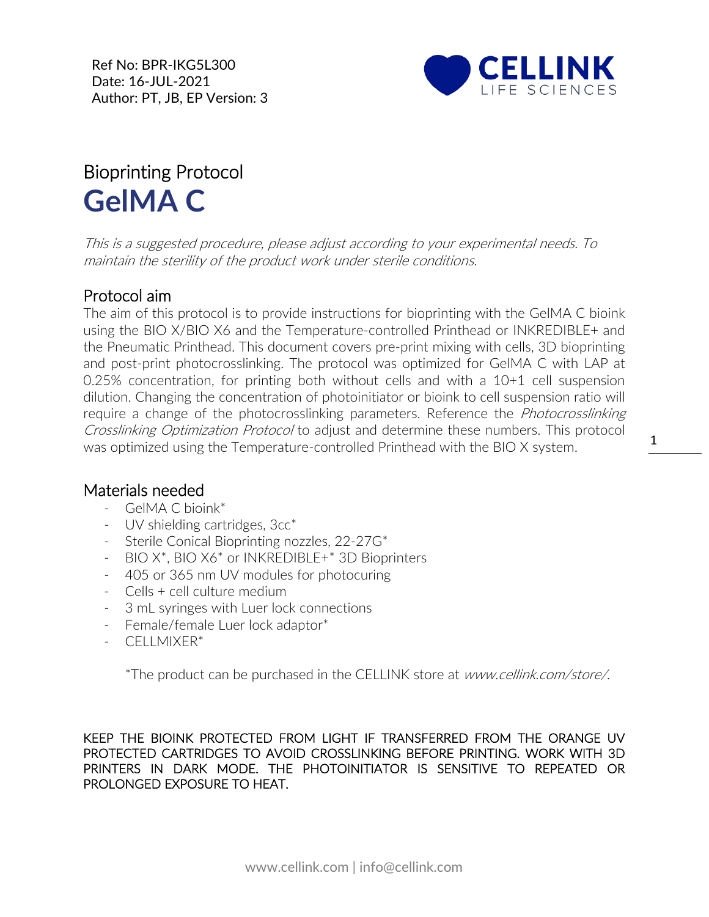Ref No: BPR-IKG5L300 Date: 16-JUL-2021 Author: PT, JB, EP Version: 3



## Bioprinting Protocol **GelMA C**

This is a suggested procedure, please adjust according to your experimental needs. To maintain the sterility of the product work under sterile conditions.

## Protocol aim

The aim of this protocol is to provide instructions for bioprinting with the GelMA C bioink using the BIO X/BIO X6 and the Temperature-controlled Printhead or [INKREDIBLE+](https://cellink.com/product/inkredible-3d-bioprinter/) and the Pneumatic Printhead. This document covers pre-print mixing with cells, 3D bioprinting and post-print photocrosslinking. The protocol was optimized for GelMA C with LAP at 0.25% concentration, for printing both without cells and with a 10+1 cell suspension dilution. Changing the concentration of photoinitiator or bioink to cell suspension ratio will require a change of the photocrosslinking parameters. Reference the *Photocrosslinking* Crosslinking Optimization Protocol to adjust and determine these numbers. This protocol was optimized using the Temperature-controlled Printhead with the BIO X system.

## Materials needed

- GelMA C bioink\*
- [UV](https://cellink.com/product/uv-shielding-cartridges-3cc/) shielding cartridges,  $3cc^*$
- Sterile Conical Bioprinting nozzles, 22-27G\*
- BIO X<sup>\*</sup>, BIO X6<sup>\*</sup> or [INKREDIBLE+](https://cellink.com/product/inkredible-3d-bioprinter/)<sup>\*</sup> 3D Bioprinters
- 405 or 365 nm UV modules for photocuring
- Cells + cell culture medium
- 3 mL syringes with Luer lock connections
- Female/female Luer lock adaptor\*
- CELLMIXER\*

\*The product can be purchased in the CELLINK store at www.cellink.com/store/.

KEEP THE BIOINK PROTECTED FROM LIGHT IF TRANSFERRED FROM THE ORANGE UV PROTECTED CARTRIDGES TO AVOID CROSSLINKING BEFORE PRINTING. WORK WITH 3D PRINTERS IN DARK MODE. THE PHOTOINITIATOR IS SENSITIVE TO REPEATED OR PROLONGED EXPOSURE TO HEAT.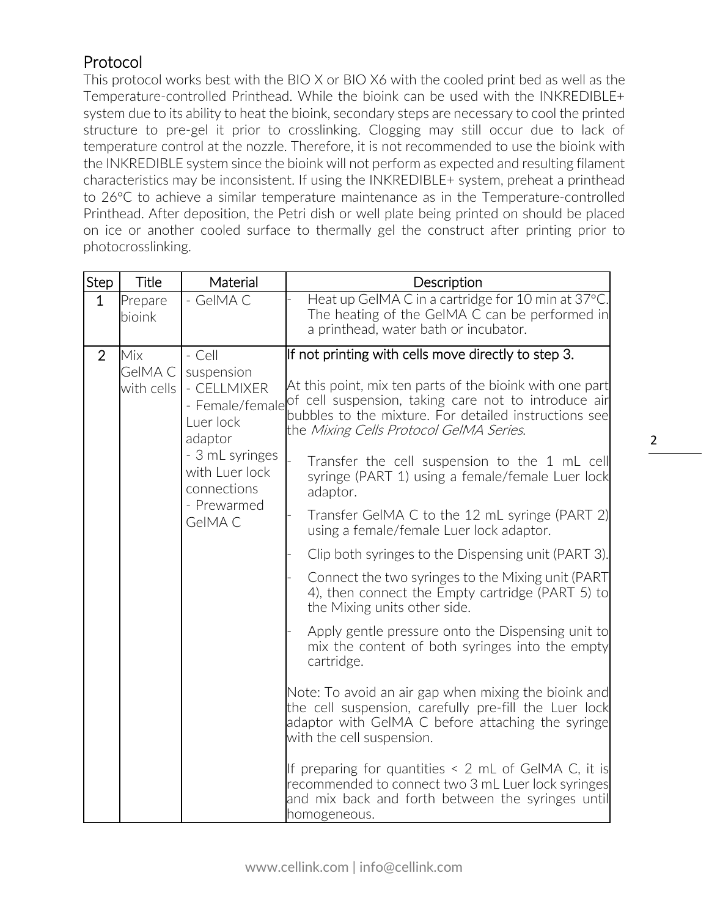## Protocol

This protocol works best with the BIO X or BIO X6 with the cooled print bed as well as the Temperature-controlled Printhead. While the bioink can be used with the INKREDIBLE+ system due to its ability to heat the bioink, secondary steps are necessary to cool the printed structure to pre-gel it prior to crosslinking. Clogging may still occur due to lack of temperature control at the nozzle. Therefore, it is not recommended to use the bioink with the INKREDIBLE system since the bioink will not perform as expected and resulting filament characteristics may be inconsistent. If using the INKREDIBLE+ system, preheat a printhead to 26°C to achieve a similar temperature maintenance as in the Temperature-controlled Printhead. After deposition, the Petri dish or well plate being printed on should be placed on ice or another cooled surface to thermally gel the construct after printing prior to photocrosslinking.

| <b>Step</b>    | <b>Title</b>                 | Material                                                                                                                                                     | Description                                                                                                                                                                                                                                                                                                                                                                                                                                                                                                                                                                                                                                                                                                                                                                                                                                                                                                                                                                                                                                                                                                                                                                                                  |
|----------------|------------------------------|--------------------------------------------------------------------------------------------------------------------------------------------------------------|--------------------------------------------------------------------------------------------------------------------------------------------------------------------------------------------------------------------------------------------------------------------------------------------------------------------------------------------------------------------------------------------------------------------------------------------------------------------------------------------------------------------------------------------------------------------------------------------------------------------------------------------------------------------------------------------------------------------------------------------------------------------------------------------------------------------------------------------------------------------------------------------------------------------------------------------------------------------------------------------------------------------------------------------------------------------------------------------------------------------------------------------------------------------------------------------------------------|
| $\mathbf 1$    | Prepare<br>bioink            | - GelMAC                                                                                                                                                     | Heat up GeIMA C in a cartridge for 10 min at 37°C.<br>The heating of the GeIMA C can be performed in<br>a printhead, water bath or incubator.                                                                                                                                                                                                                                                                                                                                                                                                                                                                                                                                                                                                                                                                                                                                                                                                                                                                                                                                                                                                                                                                |
| $\overline{2}$ | Mix<br>GeIMA C<br>with cells | - Cell<br>suspension<br>- CELLMIXER<br>- Female/female<br>Luer lock<br>adaptor<br>- 3 mL syringes<br>with Luer lock<br>connections<br>- Prewarmed<br>GelMA C | If not printing with cells move directly to step 3.<br>At this point, mix ten parts of the bioink with one part<br>of cell suspension, taking care not to introduce air<br>bubbles to the mixture. For detailed instructions see<br>the Mixing Cells Protocol GelMA Series.<br>Transfer the cell suspension to the 1 mL cell<br>syringe (PART 1) using a female/female Luer lock<br>adaptor.<br>Transfer GelMA C to the 12 mL syringe (PART 2)<br>using a female/female Luer lock adaptor.<br>Clip both syringes to the Dispensing unit (PART 3).<br>Connect the two syringes to the Mixing unit (PART)<br>4), then connect the Empty cartridge (PART 5) to<br>the Mixing units other side.<br>Apply gentle pressure onto the Dispensing unit to<br>mix the content of both syringes into the empty<br>cartridge.<br>Note: To avoid an air gap when mixing the bioink and<br>the cell suspension, carefully pre-fill the Luer lock<br>adaptor with GeIMA C before attaching the syringe<br>with the cell suspension.<br>If preparing for quantities $\leq$ 2 mL of GeIMA C, it is<br>recommended to connect two 3 mL Luer lock syringes<br>and mix back and forth between the syringes until<br>homogeneous. |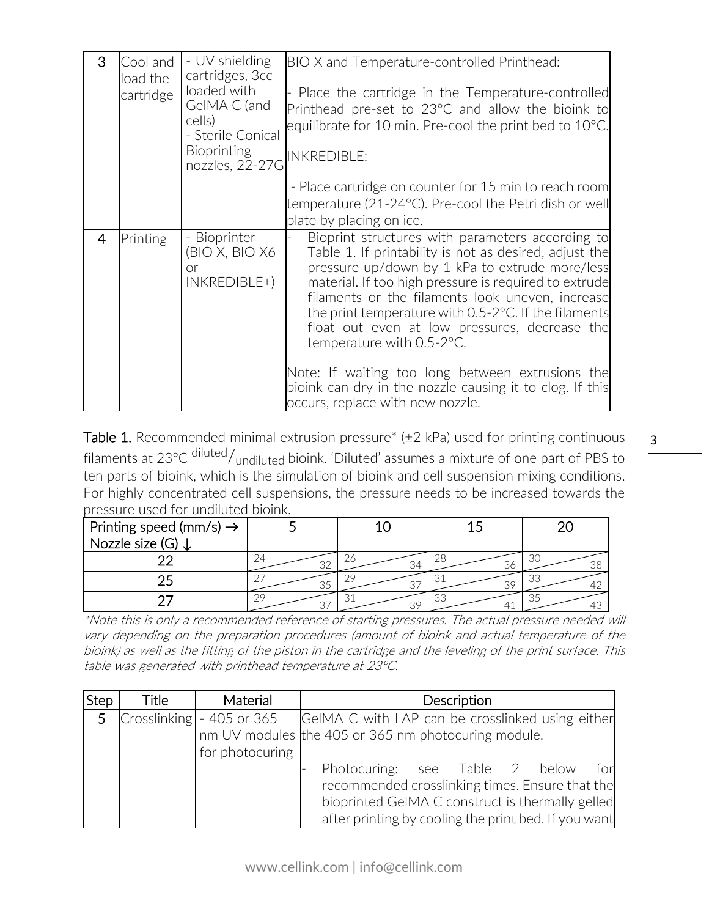| 3              | Cool and<br>load the<br>cartridge | - UV shielding<br>cartridges, 3cc<br>loaded with<br>GelMA C (and<br>cells)<br>- Sterile Conical<br><b>Bioprinting</b><br>nozzles, 22-27G | BIO X and Temperature-controlled Printhead:<br>Place the cartridge in the Temperature-controlled<br>Printhead pre-set to 23°C and allow the bioink to<br>equilibrate for 10 min. Pre-cool the print bed to $10^{\circ}$ C.<br><b>INKREDIBLE:</b>                                                                                                                                                                                                                                                                                                                                  |
|----------------|-----------------------------------|------------------------------------------------------------------------------------------------------------------------------------------|-----------------------------------------------------------------------------------------------------------------------------------------------------------------------------------------------------------------------------------------------------------------------------------------------------------------------------------------------------------------------------------------------------------------------------------------------------------------------------------------------------------------------------------------------------------------------------------|
|                |                                   |                                                                                                                                          | - Place cartridge on counter for 15 min to reach room<br>temperature (21-24°C). Pre-cool the Petri dish or well<br>plate by placing on ice.                                                                                                                                                                                                                                                                                                                                                                                                                                       |
| $\overline{4}$ | Printing                          | - Bioprinter<br>(BIO X, BIO X6<br><b>or</b><br>$INKREDIBLE+)$                                                                            | Bioprint structures with parameters according to<br>Table 1. If printability is not as desired, adjust the<br>pressure up/down by 1 kPa to extrude more/less<br>material. If too high pressure is required to extrude<br>filaments or the filaments look uneven, increase<br>the print temperature with $0.5$ -2 $^{\circ}$ C. If the filaments<br>float out even at low pressures, decrease the<br>temperature with 0.5-2°C.<br>Note: If waiting too long between extrusions the<br>bioink can dry in the nozzle causing it to clog. If this<br>occurs, replace with new nozzle. |

Table 1. Recommended minimal extrusion pressure\*  $(\pm 2 \text{ kPa})$  used for printing continuous filaments at 23°C diluted/undiluted bioink. 'Diluted' assumes a mixture of one part of PBS to ten parts of bioink, which is the simulation of bioink and cell suspension mixing conditions. For highly concentrated cell suspensions, the pressure needs to be increased towards the pressure used for undiluted bioink.

| Printing speed (mm/s) $\rightarrow$ |    |    |          |
|-------------------------------------|----|----|----------|
| Nozzle size (G)                     |    |    |          |
|                                     | つつ |    | 31<br>38 |
|                                     |    |    | 3.       |
|                                     |    | 30 | 13       |

\*Note this is only a recommended reference of starting pressures. The actual pressure needed will vary depending on the preparation procedures (amount of bioink and actual temperature of the bioink) as well as the fitting of the piston in the cartridge and the leveling of the print surface. This table was generated with printhead temperature at 23°C.

| Step | Title | Material                             | Description                                          |
|------|-------|--------------------------------------|------------------------------------------------------|
|      |       | 5 $\text{Crosslinking}$ - 405 or 365 | GeIMA C with LAP can be crosslinked using either     |
|      |       |                                      | nm UV modules the 405 or 365 nm photocuring module.  |
|      |       | for photocuring                      |                                                      |
|      |       |                                      | Photocuring: see Table 2 below<br>for                |
|      |       |                                      | recommended crosslinking times. Ensure that the      |
|      |       |                                      | bioprinted GeIMA C construct is thermally gelled     |
|      |       |                                      | after printing by cooling the print bed. If you want |